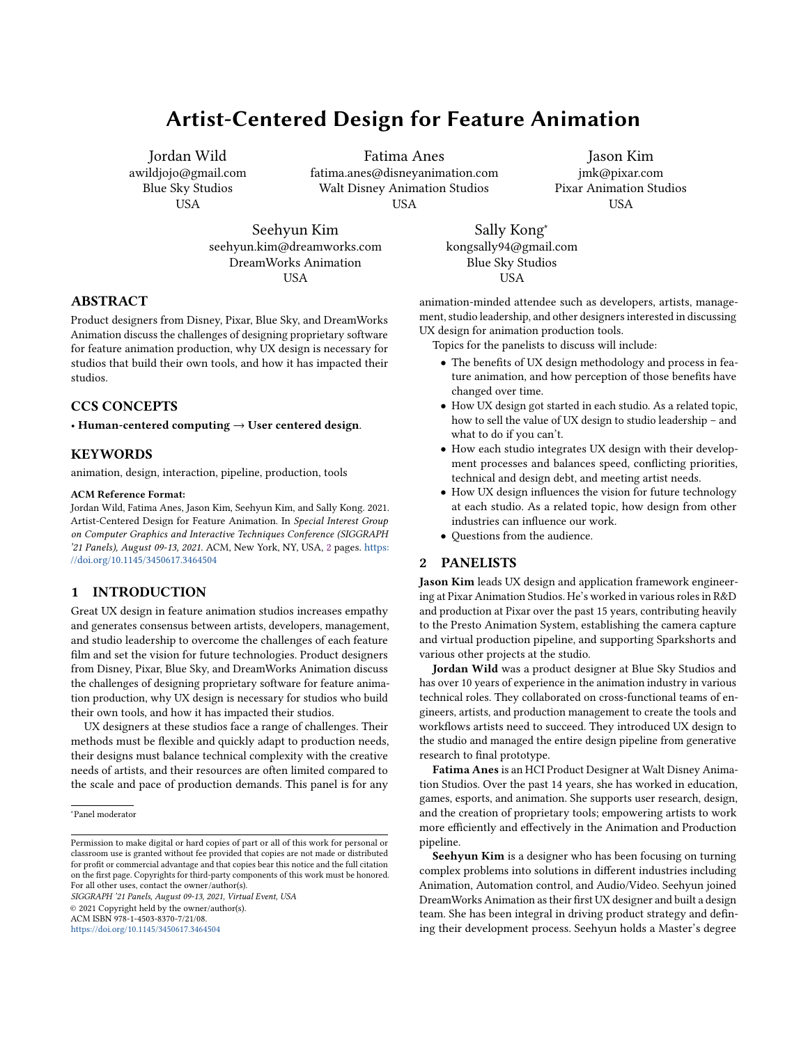# Artist-Centered Design for Feature Animation

Jordan Wild awildjojo@gmail.com Blue Sky Studios USA

Fatima Anes

fatima.anes@disneyanimation.com Walt Disney Animation Studios USA

Jason Kim jmk@pixar.com Pixar Animation Studios USA

Seehyun Kim seehyun.kim@dreamworks.com DreamWorks Animation USA

ABSTRACT

Product designers from Disney, Pixar, Blue Sky, and DreamWorks Animation discuss the challenges of designing proprietary software for feature animation production, why UX design is necessary for studios that build their own tools, and how it has impacted their studios.

## CCS CONCEPTS

• Human-centered computing  $\rightarrow$  User centered design.

### **KEYWORDS**

animation, design, interaction, pipeline, production, tools

#### ACM Reference Format:

Jordan Wild, Fatima Anes, Jason Kim, Seehyun Kim, and Sally Kong. 2021. Artist-Centered Design for Feature Animation. In Special Interest Group on Computer Graphics and Interactive Techniques Conference (SIGGRAPH '21 Panels), August 09-13, 2021. ACM, New York, NY, USA, [2](#page-1-0) pages. [https:](https://doi.org/10.1145/3450617.3464504) [//doi.org/10.1145/3450617.3464504](https://doi.org/10.1145/3450617.3464504)

## 1 INTRODUCTION

Great UX design in feature animation studios increases empathy and generates consensus between artists, developers, management, and studio leadership to overcome the challenges of each feature film and set the vision for future technologies. Product designers from Disney, Pixar, Blue Sky, and DreamWorks Animation discuss the challenges of designing proprietary software for feature animation production, why UX design is necessary for studios who build their own tools, and how it has impacted their studios.

UX designers at these studios face a range of challenges. Their methods must be flexible and quickly adapt to production needs, their designs must balance technical complexity with the creative needs of artists, and their resources are often limited compared to the scale and pace of production demands. This panel is for any

SIGGRAPH '21 Panels, August 09-13, 2021, Virtual Event, USA © 2021 Copyright held by the owner/author(s). ACM ISBN 978-1-4503-8370-7/21/08.

<https://doi.org/10.1145/3450617.3464504>

Sally Kong<sup>∗</sup> kongsally94@gmail.com Blue Sky Studios USA

animation-minded attendee such as developers, artists, management, studio leadership, and other designers interested in discussing UX design for animation production tools.

Topics for the panelists to discuss will include:

- The benefits of UX design methodology and process in feature animation, and how perception of those benefits have changed over time.
- How UX design got started in each studio. As a related topic, how to sell the value of UX design to studio leadership – and what to do if you can't.
- How each studio integrates UX design with their development processes and balances speed, conflicting priorities, technical and design debt, and meeting artist needs.
- How UX design influences the vision for future technology at each studio. As a related topic, how design from other industries can influence our work.
- Questions from the audience.

#### 2 PANELISTS

Jason Kim leads UX design and application framework engineering at Pixar Animation Studios. He's worked in various roles in R&D and production at Pixar over the past 15 years, contributing heavily to the Presto Animation System, establishing the camera capture and virtual production pipeline, and supporting Sparkshorts and various other projects at the studio.

Jordan Wild was a product designer at Blue Sky Studios and has over 10 years of experience in the animation industry in various technical roles. They collaborated on cross-functional teams of engineers, artists, and production management to create the tools and workflows artists need to succeed. They introduced UX design to the studio and managed the entire design pipeline from generative research to final prototype.

Fatima Anes is an HCI Product Designer at Walt Disney Animation Studios. Over the past 14 years, she has worked in education, games, esports, and animation. She supports user research, design, and the creation of proprietary tools; empowering artists to work more efficiently and effectively in the Animation and Production pipeline.

Seehyun Kim is a designer who has been focusing on turning complex problems into solutions in different industries including Animation, Automation control, and Audio/Video. Seehyun joined DreamWorks Animation as their first UX designer and built a design team. She has been integral in driving product strategy and defining their development process. Seehyun holds a Master's degree

<sup>∗</sup>Panel moderator

Permission to make digital or hard copies of part or all of this work for personal or classroom use is granted without fee provided that copies are not made or distributed for profit or commercial advantage and that copies bear this notice and the full citation on the first page. Copyrights for third-party components of this work must be honored. For all other uses, contact the owner/author(s).